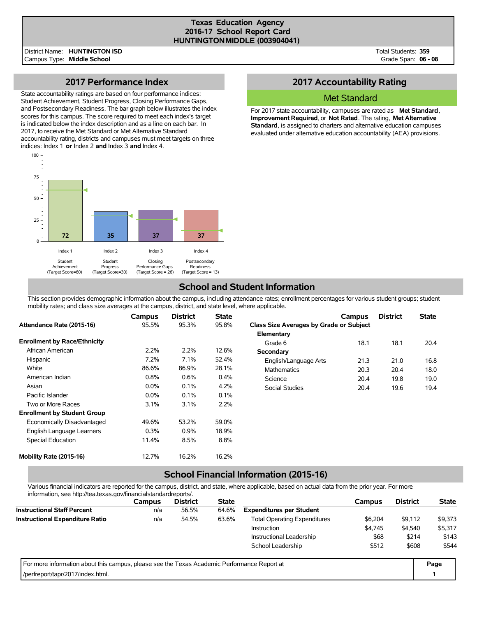### **Texas Education Agency 2016-17 School Report Card HUNTINGTONMIDDLE (003904041)**

Total Students: **359** Grade Span: **06 - 08**

## **2017 Performance Index**

State accountability ratings are based on four performance indices: Student Achievement, Student Progress, Closing Performance Gaps, and Postsecondary Readiness. The bar graph below illustrates the index scores for this campus. The score required to meet each index's target is indicated below the index description and as a line on each bar. In 2017, to receive the Met Standard or Met Alternative Standard accountability rating, districts and campuses must meet targets on three indices: Index 1 **or** Index 2 **and** Index 3 **and** Index 4.



# **2017 Accountability Rating**

### Met Standard

For 2017 state accountability, campuses are rated as **Met Standard**, **Improvement Required**, or **Not Rated**. The rating, **Met Alternative Standard**, is assigned to charters and alternative education campuses evaluated under alternative education accountability (AEA) provisions.

## **School and Student Information**

This section provides demographic information about the campus, including attendance rates; enrollment percentages for various student groups; student mobility rates; and class size averages at the campus, district, and state level, where applicable.

|                                     | Campus  | <b>District</b> | <b>State</b> |                                         | Campus | <b>District</b> | <b>State</b> |
|-------------------------------------|---------|-----------------|--------------|-----------------------------------------|--------|-----------------|--------------|
| Attendance Rate (2015-16)           | 95.5%   | 95.3%           | 95.8%        | Class Size Averages by Grade or Subject |        |                 |              |
|                                     |         |                 |              | Elementary                              |        |                 |              |
| <b>Enrollment by Race/Ethnicity</b> |         |                 |              | Grade 6                                 | 18.1   | 18.1            | 20.4         |
| African American                    | 2.2%    | 2.2%            | 12.6%        | Secondary                               |        |                 |              |
| Hispanic                            | 7.2%    | 7.1%            | 52.4%        | English/Language Arts                   | 21.3   | 21.0            | 16.8         |
| White                               | 86.6%   | 86.9%           | 28.1%        | Mathematics                             | 20.3   | 20.4            | 18.0         |
| American Indian                     | 0.8%    | 0.6%            | 0.4%         | Science                                 | 20.4   | 19.8            | 19.0         |
| Asian                               | $0.0\%$ | 0.1%            | 4.2%         | <b>Social Studies</b>                   | 20.4   | 19.6            | 19.4         |
| Pacific Islander                    | 0.0%    | 0.1%            | 0.1%         |                                         |        |                 |              |
| Two or More Races                   | 3.1%    | 3.1%            | 2.2%         |                                         |        |                 |              |
| <b>Enrollment by Student Group</b>  |         |                 |              |                                         |        |                 |              |
| Economically Disadvantaged          | 49.6%   | 53.2%           | 59.0%        |                                         |        |                 |              |
| English Language Learners           | 0.3%    | 0.9%            | 18.9%        |                                         |        |                 |              |
| Special Education                   | 11.4%   | 8.5%            | 8.8%         |                                         |        |                 |              |
| Mobility Rate (2015-16)             | 12.7%   | 16.2%           | 16.2%        |                                         |        |                 |              |

# **School Financial Information (2015-16)**

Various financial indicators are reported for the campus, district, and state, where applicable, based on actual data from the prior year. For more information, see http://tea.texas.gov/financialstandardreports/.

| information, Sec. http://tea.icxas.gov/illialicialsialidardicports/.                        |               |                 |                                                         |                                 |         |                 |              |
|---------------------------------------------------------------------------------------------|---------------|-----------------|---------------------------------------------------------|---------------------------------|---------|-----------------|--------------|
|                                                                                             | <b>Campus</b> | <b>District</b> | <b>State</b>                                            |                                 | Campus  | <b>District</b> | <b>State</b> |
| <b>Instructional Staff Percent</b>                                                          | n/a           | 56.5%           | 64.6%                                                   | <b>Expenditures per Student</b> |         |                 |              |
| <b>Instructional Expenditure Ratio</b>                                                      | n/a           | 54.5%           | <b>Total Operating Expenditures</b><br>\$6.204<br>63.6% |                                 |         |                 | \$9,373      |
|                                                                                             |               |                 |                                                         | Instruction                     | \$4,745 | \$4.540         | \$5,317      |
|                                                                                             |               |                 |                                                         | Instructional Leadership        | \$68    | \$214           | \$143        |
|                                                                                             |               |                 |                                                         | School Leadership               | \$512   | \$608           | \$544        |
| For more information about this campus, please see the Texas Academic Performance Report at |               |                 |                                                         |                                 |         |                 | Page         |
| /perfreport/tapr/2017/index.html.                                                           |               |                 |                                                         |                                 |         |                 |              |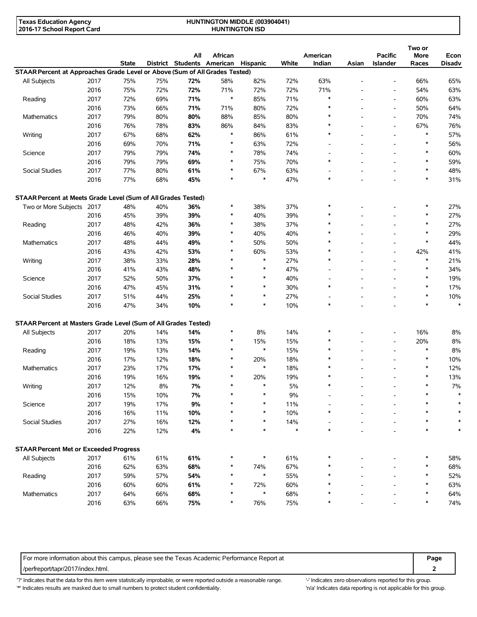| Texas Education Agency     | <b>HUNTINGTON MIDDLE (003904041)</b> |  |
|----------------------------|--------------------------------------|--|
| 2016-17 School Report Card | <b>HUNTINGTON ISD</b>                |  |

|                                                                             |      | <b>State</b> |     | All<br>District Students American | African       | Hispanic      | White  | American<br>Indian       | Asian | <b>Pacific</b><br>Islander                           | Two or<br>More<br>Races | Econ<br><b>Disadv</b> |
|-----------------------------------------------------------------------------|------|--------------|-----|-----------------------------------|---------------|---------------|--------|--------------------------|-------|------------------------------------------------------|-------------------------|-----------------------|
| STAAR Percent at Approaches Grade Level or Above (Sum of All Grades Tested) |      |              |     |                                   |               |               |        |                          |       |                                                      |                         |                       |
| All Subjects                                                                | 2017 | 75%          | 75% | 72%                               | 58%           | 82%           | 72%    | 63%                      |       | $\overline{\phantom{a}}$                             | 66%                     | 65%                   |
|                                                                             | 2016 | 75%          | 72% | 72%                               | 71%           | 72%           | 72%    | 71%                      |       | $\overline{\phantom{a}}$                             | 54%                     | 63%                   |
| Reading                                                                     | 2017 | 72%          | 69% | 71%                               | $\ast$        | 85%           | 71%    | $\ast$                   |       | $\overline{\phantom{a}}$                             | 60%                     | 63%                   |
|                                                                             |      |              |     |                                   |               |               |        | $\ast$                   |       |                                                      |                         |                       |
| Mathematics                                                                 | 2016 | 73%          | 66% | 71%                               | 71%           | 80%           | 72%    | *                        |       | $\overline{\phantom{a}}$<br>$\overline{\phantom{a}}$ | 50%                     | 64%                   |
|                                                                             | 2017 | 79%          | 80% | 80%                               | 88%           | 85%           | 80%    | $\ast$                   |       |                                                      | 70%                     | 74%                   |
|                                                                             | 2016 | 76%          | 78% | 83%                               | 86%<br>$\ast$ | 84%           | 83%    | $\ast$                   |       | $\overline{\phantom{a}}$                             | 67%<br>$\ast$           | 76%                   |
| Writing                                                                     | 2017 | 67%          | 68% | 62%                               |               | 86%           | 61%    |                          |       | ٠                                                    | $\ast$                  | 57%                   |
|                                                                             | 2016 | 69%          | 70% | 71%                               | $\ast$        | 63%           | 72%    |                          |       | Ē,                                                   |                         | 56%                   |
| Science                                                                     | 2017 | 79%          | 79% | 74%                               | $\ast$        | 78%           | 74%    | $\overline{\phantom{a}}$ |       | $\overline{a}$                                       | $\ast$                  | 60%                   |
|                                                                             | 2016 | 79%          | 79% | 69%                               | $\ast$        | 75%           | 70%    | $\ast$                   |       | ٠                                                    | $\ast$                  | 59%                   |
| Social Studies                                                              | 2017 | 77%          | 80% | 61%                               | $\ast$        | 67%           | 63%    | $\overline{\phantom{a}}$ |       | ٠                                                    | $\ast$                  | 48%                   |
|                                                                             | 2016 | 77%          | 68% | 45%                               | $\ast$        | $\ast$        | 47%    | $\ast$                   |       |                                                      | $\ast$                  | 31%                   |
| STAAR Percent at Meets Grade Level (Sum of All Grades Tested)               |      |              |     |                                   |               |               |        |                          |       |                                                      |                         |                       |
| Two or More Subjects 2017                                                   |      | 48%          | 40% | 36%                               | $\ast$        | 38%           | 37%    | $\ast$                   |       |                                                      |                         | 27%                   |
|                                                                             | 2016 | 45%          | 39% | 39%                               | $\ast$        | 40%           | 39%    | $\ast$                   |       |                                                      | $\ast$                  | 27%                   |
| Reading                                                                     | 2017 | 48%          | 42% | 36%                               | $\ast$        | 38%           | 37%    | $\ast$                   |       |                                                      | $\ast$                  | 27%                   |
|                                                                             | 2016 | 46%          | 40% | 39%                               | $\ast$        | 40%           | 40%    |                          |       |                                                      | $\ast$                  | 29%                   |
| <b>Mathematics</b>                                                          | 2017 | 48%          | 44% | 49%                               | $\ast$        | 50%           | 50%    | $\ast$                   |       | ٠                                                    | $\ast$                  | 44%                   |
|                                                                             | 2016 | 43%          | 42% | 53%                               | $\ast$        | 60%           | 53%    | $\ast$                   |       | $\overline{a}$                                       | 42%                     | 41%                   |
| Writing                                                                     | 2017 | 38%          | 33% | 28%                               | $\ast$        | $\ast$        | 27%    | $\ast$                   |       | $\overline{a}$                                       | $\ast$                  | 21%                   |
|                                                                             | 2016 | 41%          | 43% | 48%                               | $\ast$        | $\ast$        | 47%    | $\overline{\phantom{a}}$ |       | ٠                                                    | $\ast$                  | 34%                   |
| Science                                                                     | 2017 | 52%          | 50% | 37%                               | ∗             | $\ast$        | 40%    | $\overline{\phantom{a}}$ |       | $\overline{a}$                                       | $\ast$                  | 19%                   |
|                                                                             | 2016 | 47%          | 45% | 31%                               |               | $\ast$        | 30%    | $\ast$                   |       | $\overline{a}$                                       |                         | 17%                   |
| Social Studies                                                              | 2017 | 51%          | 44% | 25%                               | $\ast$        | $\ast$        | 27%    | $\overline{\phantom{a}}$ |       |                                                      | $\ast$                  | 10%                   |
|                                                                             | 2016 | 47%          | 34% | 10%                               | $\ast$        | $\ast$        | 10%    | $\ast$                   |       |                                                      | $\ast$                  | $\ast$                |
| STAAR Percent at Masters Grade Level (Sum of All Grades Tested)             |      |              |     |                                   |               |               |        |                          |       |                                                      |                         |                       |
| All Subjects                                                                | 2017 | 20%          | 14% | 14%                               | $\ast$        | 8%            | 14%    | $\ast$                   |       |                                                      | 16%                     | 8%                    |
|                                                                             | 2016 | 18%          | 13% | 15%                               | $\ast$        | 15%           | 15%    | *                        |       | $\overline{a}$                                       | 20%                     | 8%                    |
| Reading                                                                     | 2017 | 19%          | 13% | 14%                               | $\ast$        | $\ast$        | 15%    | $\ast$                   |       | $\overline{a}$                                       | $\ast$                  | 8%                    |
|                                                                             |      |              |     |                                   | ∗             |               |        | $\ast$                   |       |                                                      | $\ast$                  |                       |
|                                                                             | 2016 | 17%          | 12% | 18%                               | $\ast$        | 20%<br>$\ast$ | 18%    | $\ast$                   |       | ٠                                                    | $\ast$                  | 10%                   |
| <b>Mathematics</b>                                                          | 2017 | 23%          | 17% | 17%                               |               |               | 18%    | $\ast$                   |       |                                                      |                         | 12%                   |
|                                                                             | 2016 | 19%          | 16% | 19%                               | $\ast$        | 20%           | 19%    |                          |       |                                                      | $\ast$                  | 13%                   |
| Writing                                                                     | 2017 | 12%          | 8%  | 7%                                | $\ast$        | $\ast$        | 5%     | $\ast$                   |       |                                                      | $\ast$                  | 7%                    |
|                                                                             | 2016 | 15%          | 10% | 7%                                |               | $\ast$        | 9%     |                          |       |                                                      |                         |                       |
| Science                                                                     | 2017 | 19%          | 17% | 9%                                |               | ∗             | 11%    |                          |       |                                                      |                         | $\ast$                |
|                                                                             | 2016 | 16%          | 11% | 10%                               |               | $\ast$        | 10%    |                          |       |                                                      |                         |                       |
| Social Studies                                                              | 2017 | 27%          | 16% | 12%                               |               | $\ast$        | 14%    |                          |       |                                                      |                         |                       |
|                                                                             | 2016 | 22%          | 12% | $4\%$                             |               | $\ast$        | $\ast$ | $\ast$                   |       |                                                      | $\ast$                  | $\ast$                |
| <b>STAAR Percent Met or Exceeded Progress</b>                               |      |              |     |                                   |               |               |        |                          |       |                                                      |                         |                       |
| All Subjects                                                                | 2017 | 61%          | 61% | 61%                               |               | $\ast$        | 61%    |                          |       |                                                      |                         | 58%                   |
|                                                                             | 2016 | 62%          | 63% | 68%                               | ∗             | 74%           | 67%    |                          |       |                                                      |                         | 68%                   |
| Reading                                                                     | 2017 | 59%          | 57% | 54%                               | $\ast$        | $\ast$        | 55%    |                          |       |                                                      | $\ast$                  | 52%                   |
|                                                                             | 2016 | 60%          | 60% | 61%                               | ∗             | 72%           | 60%    |                          |       |                                                      |                         | 63%                   |
| Mathematics                                                                 | 2017 | 64%          | 66% | 68%                               | ∗             | $\ast$        | 68%    |                          |       |                                                      |                         | 64%                   |
|                                                                             | 2016 | 63%          | 66% | 75%                               | $\ast$        | 76%           | 75%    |                          |       |                                                      |                         | 74%                   |
|                                                                             |      |              |     |                                   |               |               |        |                          |       |                                                      |                         |                       |

For more information about this campus, please see the Texas Academic Performance Report at **Page** Page /perfreport/tapr/2017/index.html. **2**

'?' Indicates that the data for this item were statistically improbable, or were reported outside a reasonable range. '-' Indicates zero observations reported for this group. \*' Indicates results are masked due to small numbers to protect student confidentiality. Ma' Indicates data reporting is not applicable for this group.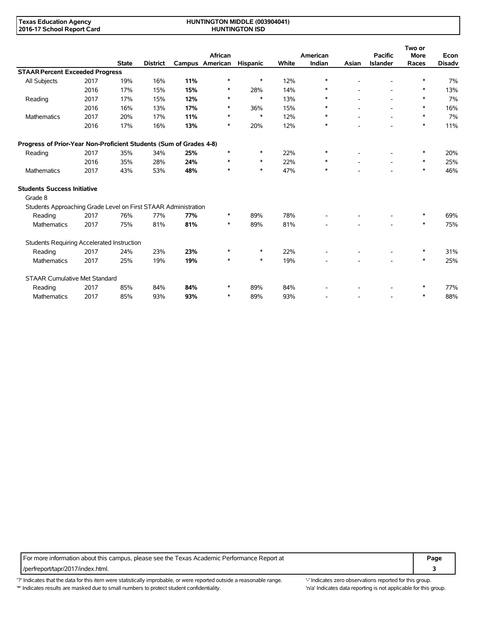#### **HUNTINGTON MIDDLE (003904041) HUNTINGTON ISD**

|                                                                    |      |              |                 |     |                            |                 |       |                    |       |                                   | Two or               |                       |
|--------------------------------------------------------------------|------|--------------|-----------------|-----|----------------------------|-----------------|-------|--------------------|-------|-----------------------------------|----------------------|-----------------------|
|                                                                    |      | <b>State</b> | <b>District</b> |     | African<br>Campus American | <b>Hispanic</b> | White | American<br>Indian | Asian | <b>Pacific</b><br><b>Islander</b> | <b>More</b><br>Races | Econ<br><b>Disadv</b> |
| <b>STAAR Percent Exceeded Progress</b>                             |      |              |                 |     |                            |                 |       |                    |       |                                   |                      |                       |
| All Subjects                                                       | 2017 | 19%          | 16%             | 11% | *                          | $\ast$          | 12%   | ∗                  |       |                                   | $\ast$               | 7%                    |
|                                                                    | 2016 | 17%          | 15%             | 15% | ∗                          | 28%             | 14%   | ∗                  |       |                                   | *                    | 13%                   |
| Reading                                                            | 2017 | 17%          | 15%             | 12% | ∗                          | $\ast$          | 13%   | $\ast$             |       |                                   | $\ast$               | 7%                    |
|                                                                    | 2016 | 16%          | 13%             | 17% | $\ast$                     | 36%             | 15%   | $\ast$             |       | $\overline{a}$                    | *                    | 16%                   |
| Mathematics                                                        | 2017 | 20%          | 17%             | 11% | $\ast$                     | $\ast$          | 12%   | $\ast$             |       |                                   | $\ast$               | 7%                    |
|                                                                    | 2016 | 17%          | 16%             | 13% | $\ast$                     | 20%             | 12%   | $\ast$             |       |                                   | $\ast$               | 11%                   |
| Progress of Prior-Year Non-Proficient Students (Sum of Grades 4-8) |      |              |                 |     |                            |                 |       |                    |       |                                   |                      |                       |
| Reading                                                            | 2017 | 35%          | 34%             | 25% | $\ast$                     | $\ast$          | 22%   | ∗                  |       |                                   | *                    | 20%                   |
|                                                                    | 2016 | 35%          | 28%             | 24% | *                          | $\ast$          | 22%   | ∗                  |       |                                   | *                    | 25%                   |
| Mathematics                                                        | 2017 | 43%          | 53%             | 48% | $\ast$                     | $\ast$          | 47%   | $\ast$             |       |                                   | $\ast$               | 46%                   |
| <b>Students Success Initiative</b>                                 |      |              |                 |     |                            |                 |       |                    |       |                                   |                      |                       |
| Grade 8                                                            |      |              |                 |     |                            |                 |       |                    |       |                                   |                      |                       |
| Students Approaching Grade Level on First STAAR Administration     |      |              |                 |     |                            |                 |       |                    |       |                                   |                      |                       |
| Reading                                                            | 2017 | 76%          | 77%             | 77% | $\ast$                     | 89%             | 78%   |                    |       |                                   | $\ast$               | 69%                   |
| Mathematics                                                        | 2017 | 75%          | 81%             | 81% | $\ast$                     | 89%             | 81%   |                    |       |                                   | $\ast$               | 75%                   |
| Students Requiring Accelerated Instruction                         |      |              |                 |     |                            |                 |       |                    |       |                                   |                      |                       |
| Reading                                                            | 2017 | 24%          | 23%             | 23% | *                          | $\ast$          | 22%   |                    |       |                                   |                      | 31%                   |
| <b>Mathematics</b>                                                 | 2017 | 25%          | 19%             | 19% | $\ast$                     | $\ast$          | 19%   |                    |       |                                   | $\ast$               | 25%                   |
| <b>STAAR Cumulative Met Standard</b>                               |      |              |                 |     |                            |                 |       |                    |       |                                   |                      |                       |
| Reading                                                            | 2017 | 85%          | 84%             | 84% | *                          | 89%             | 84%   |                    |       |                                   | *                    | 77%                   |
| <b>Mathematics</b>                                                 | 2017 | 85%          | 93%             | 93% | $\ast$                     | 89%             | 93%   |                    |       |                                   | $\ast$               | 88%                   |

For more information about this campus, please see the Texas Academic Performance Report at **Page** Page /perfreport/tapr/2017/index.html. **3**

'?' Indicates that the data for this item were statistically improbable, or were reported outside a reasonable range. "Indicates zero observations reported for this group. '\*' Indicates results are masked due to small numbers to protect student confidentiality. Ma' Indicates data reporting is not applicable for this group.